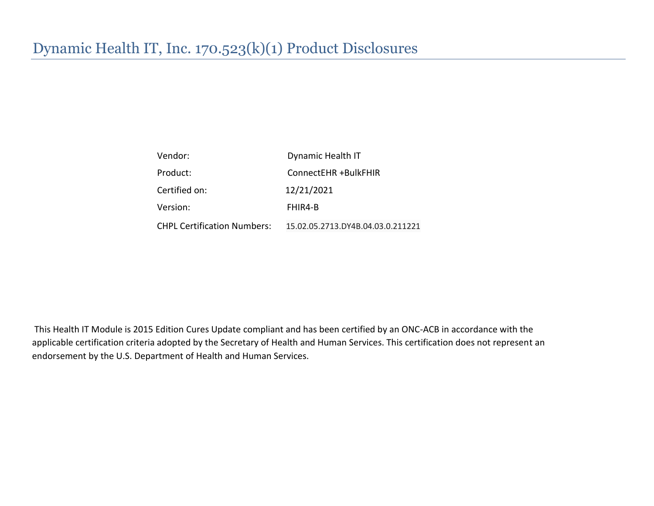| Vendor:                            | Dynamic Health IT                 |
|------------------------------------|-----------------------------------|
| Product:                           | ConnectEHR +BulkFHIR              |
| Certified on:                      | 12/21/2021                        |
| Version:                           | FHIR4-B                           |
| <b>CHPL Certification Numbers:</b> | 15.02.05.2713.DY4B.04.03.0.211221 |

This Health IT Module is 2015 Edition Cures Update compliant and has been certified by an ONC-ACB in accordance with the applicable certification criteria adopted by the Secretary of Health and Human Services. This certification does not represent an endorsement by the U.S. Department of Health and Human Services.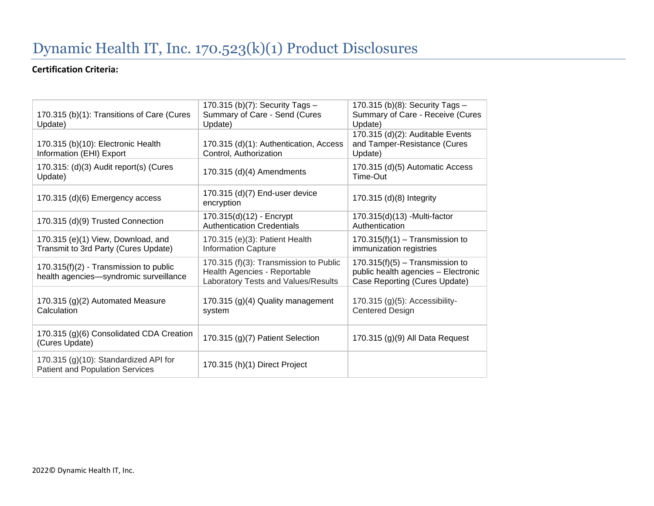#### **Certification Criteria:**

| 170.315 (b)(1): Transitions of Care (Cures<br>Update)                              | 170.315 (b)(7): Security Tags -<br>Summary of Care - Send (Cures<br>Update)                                   | 170.315 (b)(8): Security Tags -<br>Summary of Care - Receive (Cures<br>Update)                            |
|------------------------------------------------------------------------------------|---------------------------------------------------------------------------------------------------------------|-----------------------------------------------------------------------------------------------------------|
| 170.315 (b)(10): Electronic Health<br>Information (EHI) Export                     | 170.315 (d)(1): Authentication, Access<br>Control, Authorization                                              | 170.315 (d)(2): Auditable Events<br>and Tamper-Resistance (Cures<br>Update)                               |
| 170.315: (d)(3) Audit report(s) (Cures<br>Update)                                  | 170.315 (d)(4) Amendments                                                                                     | 170.315 (d)(5) Automatic Access<br>Time-Out                                                               |
| 170.315 (d)(6) Emergency access                                                    | 170.315 (d)(7) End-user device<br>encryption                                                                  | 170.315 (d)(8) Integrity                                                                                  |
| 170.315 (d)(9) Trusted Connection                                                  | 170.315(d)(12) - Encrypt<br><b>Authentication Credentials</b>                                                 | 170.315(d)(13) - Multi-factor<br>Authentication                                                           |
| 170.315 (e)(1) View, Download, and<br>Transmit to 3rd Party (Cures Update)         | 170.315 (e)(3): Patient Health<br><b>Information Capture</b>                                                  | $170.315(f)(1) - Transmission to$<br>immunization registries                                              |
| $170.315(f)(2)$ - Transmission to public<br>health agencies-syndromic surveillance | 170.315 (f)(3): Transmission to Public<br>Health Agencies - Reportable<br>Laboratory Tests and Values/Results | $170.315(f)(5) - Transmission to$<br>public health agencies - Electronic<br>Case Reporting (Cures Update) |
| 170.315 (g)(2) Automated Measure<br>Calculation                                    | 170.315 (g)(4) Quality management<br>system                                                                   | $170.315$ (g)(5): Accessibility-<br><b>Centered Design</b>                                                |
| 170.315 (g)(6) Consolidated CDA Creation<br>(Cures Update)                         | 170.315 (g)(7) Patient Selection                                                                              | 170.315 (g)(9) All Data Request                                                                           |
| 170.315 (g)(10): Standardized API for<br><b>Patient and Population Services</b>    | 170.315 (h)(1) Direct Project                                                                                 |                                                                                                           |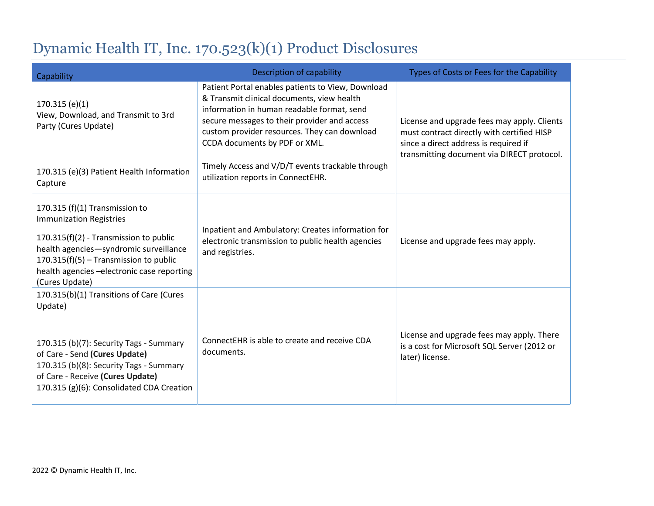| Capability                                                                                                                                                                                                                                                      | <b>Description of capability</b>                                                                                                                                                                                                                                               | Types of Costs or Fees for the Capability                                                                                                                                        |
|-----------------------------------------------------------------------------------------------------------------------------------------------------------------------------------------------------------------------------------------------------------------|--------------------------------------------------------------------------------------------------------------------------------------------------------------------------------------------------------------------------------------------------------------------------------|----------------------------------------------------------------------------------------------------------------------------------------------------------------------------------|
| 170.315(e)(1)<br>View, Download, and Transmit to 3rd<br>Party (Cures Update)                                                                                                                                                                                    | Patient Portal enables patients to View, Download<br>& Transmit clinical documents, view health<br>information in human readable format, send<br>secure messages to their provider and access<br>custom provider resources. They can download<br>CCDA documents by PDF or XML. | License and upgrade fees may apply. Clients<br>must contract directly with certified HISP<br>since a direct address is required if<br>transmitting document via DIRECT protocol. |
| 170.315 (e)(3) Patient Health Information<br>Capture                                                                                                                                                                                                            | Timely Access and V/D/T events trackable through<br>utilization reports in ConnectEHR.                                                                                                                                                                                         |                                                                                                                                                                                  |
| 170.315 (f)(1) Transmission to<br><b>Immunization Registries</b><br>170.315(f)(2) - Transmission to public<br>health agencies-syndromic surveillance<br>170.315(f)(5) - Transmission to public<br>health agencies - electronic case reporting<br>(Cures Update) | Inpatient and Ambulatory: Creates information for<br>electronic transmission to public health agencies<br>and registries.                                                                                                                                                      | License and upgrade fees may apply.                                                                                                                                              |
| 170.315(b)(1) Transitions of Care (Cures<br>Update)<br>170.315 (b)(7): Security Tags - Summary<br>of Care - Send (Cures Update)<br>170.315 (b)(8): Security Tags - Summary<br>of Care - Receive (Cures Update)<br>170.315 (g)(6): Consolidated CDA Creation     | ConnectEHR is able to create and receive CDA<br>documents.                                                                                                                                                                                                                     | License and upgrade fees may apply. There<br>is a cost for Microsoft SQL Server (2012 or<br>later) license.                                                                      |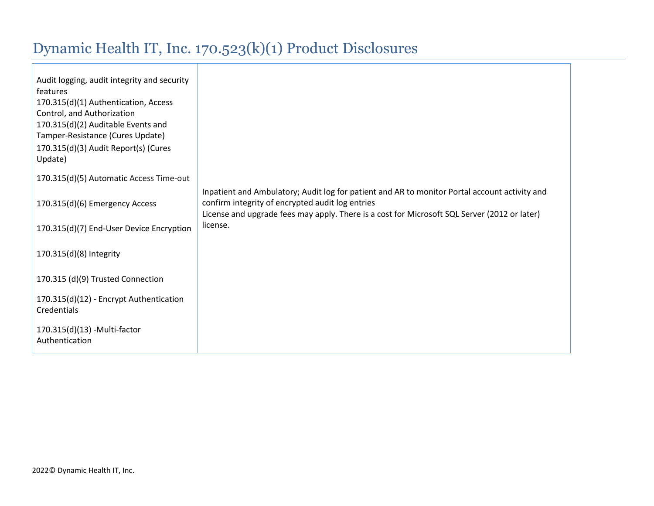| Audit logging, audit integrity and security<br>features<br>170.315(d)(1) Authentication, Access<br>Control, and Authorization<br>170.315(d)(2) Auditable Events and<br>Tamper-Resistance (Cures Update)<br>170.315(d)(3) Audit Report(s) (Cures<br>Update) |                                                                                                                                                                                                                                                   |
|------------------------------------------------------------------------------------------------------------------------------------------------------------------------------------------------------------------------------------------------------------|---------------------------------------------------------------------------------------------------------------------------------------------------------------------------------------------------------------------------------------------------|
| 170.315(d)(5) Automatic Access Time-out                                                                                                                                                                                                                    |                                                                                                                                                                                                                                                   |
| 170.315(d)(6) Emergency Access                                                                                                                                                                                                                             | Inpatient and Ambulatory; Audit log for patient and AR to monitor Portal account activity and<br>confirm integrity of encrypted audit log entries<br>License and upgrade fees may apply. There is a cost for Microsoft SQL Server (2012 or later) |
| 170.315(d)(7) End-User Device Encryption                                                                                                                                                                                                                   | license.                                                                                                                                                                                                                                          |
| 170.315(d)(8) Integrity                                                                                                                                                                                                                                    |                                                                                                                                                                                                                                                   |
| 170.315 (d)(9) Trusted Connection                                                                                                                                                                                                                          |                                                                                                                                                                                                                                                   |
| 170.315(d)(12) - Encrypt Authentication<br>Credentials                                                                                                                                                                                                     |                                                                                                                                                                                                                                                   |
| 170.315(d)(13) - Multi-factor<br>Authentication                                                                                                                                                                                                            |                                                                                                                                                                                                                                                   |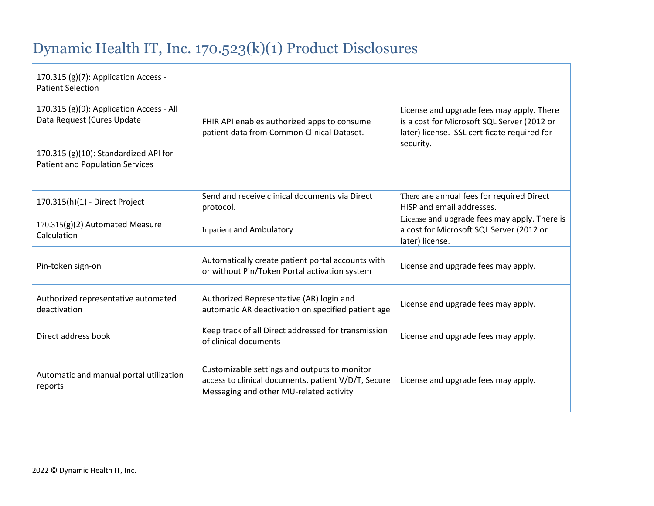| 170.315 (g)(7): Application Access -<br><b>Patient Selection</b><br>170.315 (g)(9): Application Access - All<br>Data Request (Cures Update<br>170.315 (g)(10): Standardized API for<br><b>Patient and Population Services</b> | FHIR API enables authorized apps to consume<br>patient data from Common Clinical Dataset.                                                      | License and upgrade fees may apply. There<br>is a cost for Microsoft SQL Server (2012 or<br>later) license. SSL certificate required for<br>security. |
|-------------------------------------------------------------------------------------------------------------------------------------------------------------------------------------------------------------------------------|------------------------------------------------------------------------------------------------------------------------------------------------|-------------------------------------------------------------------------------------------------------------------------------------------------------|
| 170.315(h)(1) - Direct Project                                                                                                                                                                                                | Send and receive clinical documents via Direct<br>protocol.                                                                                    | There are annual fees for required Direct<br>HISP and email addresses.                                                                                |
| 170.315(g)(2) Automated Measure<br>Calculation                                                                                                                                                                                | <b>Inpatient and Ambulatory</b>                                                                                                                | License and upgrade fees may apply. There is<br>a cost for Microsoft SQL Server (2012 or<br>later) license.                                           |
| Pin-token sign-on                                                                                                                                                                                                             | Automatically create patient portal accounts with<br>or without Pin/Token Portal activation system                                             | License and upgrade fees may apply.                                                                                                                   |
| Authorized representative automated<br>deactivation                                                                                                                                                                           | Authorized Representative (AR) login and<br>automatic AR deactivation on specified patient age                                                 | License and upgrade fees may apply.                                                                                                                   |
| Direct address book                                                                                                                                                                                                           | Keep track of all Direct addressed for transmission<br>of clinical documents                                                                   | License and upgrade fees may apply.                                                                                                                   |
| Automatic and manual portal utilization<br>reports                                                                                                                                                                            | Customizable settings and outputs to monitor<br>access to clinical documents, patient V/D/T, Secure<br>Messaging and other MU-related activity | License and upgrade fees may apply.                                                                                                                   |